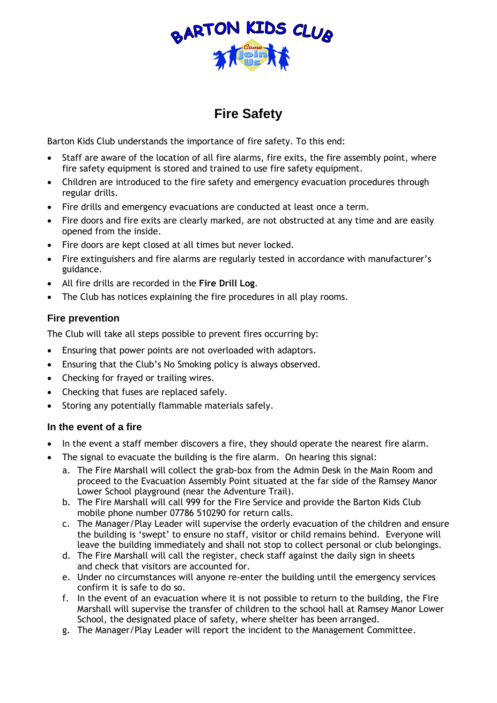

## **Fire Safety**

Barton Kids Club understands the importance of fire safety. To this end:

- Staff are aware of the location of all fire alarms, fire exits, the fire assembly point, where fire safety equipment is stored and trained to use fire safety equipment.
- Children are introduced to the fire safety and emergency evacuation procedures through regular drills.
- Fire drills and emergency evacuations are conducted at least once a term.
- Fire doors and fire exits are clearly marked, are not obstructed at any time and are easily opened from the inside.
- Fire doors are kept closed at all times but never locked.
- Fire extinguishers and fire alarms are regularly tested in accordance with manufacturer's guidance.
- All fire drills are recorded in the **Fire Drill Log**.
- The Club has notices explaining the fire procedures in all play rooms.

## **Fire prevention**

The Club will take all steps possible to prevent fires occurring by:

- Ensuring that power points are not overloaded with adaptors.
- Ensuring that the Club's No Smoking policy is always observed.
- Checking for frayed or trailing wires.
- Checking that fuses are replaced safely.
- Storing any potentially flammable materials safely.

## **In the event of a fire**

- In the event a staff member discovers a fire, they should operate the nearest fire alarm.
- The signal to evacuate the building is the fire alarm. On hearing this signal:
	- a. The Fire Marshall will collect the grab-box from the Admin Desk in the Main Room and proceed to the Evacuation Assembly Point situated at the far side of the Ramsey Manor Lower School playground (near the Adventure Trail).
	- b. The Fire Marshall will call 999 for the Fire Service and provide the Barton Kids Club mobile phone number 07786 510290 for return calls.
	- c. The Manager/Play Leader will supervise the orderly evacuation of the children and ensure the building is 'swept' to ensure no staff, visitor or child remains behind. Everyone will leave the building immediately and shall not stop to collect personal or club belongings.
	- d. The Fire Marshall will call the register, check staff against the daily sign in sheets and check that visitors are accounted for.
	- e. Under no circumstances will anyone re-enter the building until the emergency services confirm it is safe to do so.
	- f. In the event of an evacuation where it is not possible to return to the building, the Fire Marshall will supervise the transfer of children to the school hall at Ramsey Manor Lower School, the designated place of safety, where shelter has been arranged.
	- g. The Manager/Play Leader will report the incident to the Management Committee.